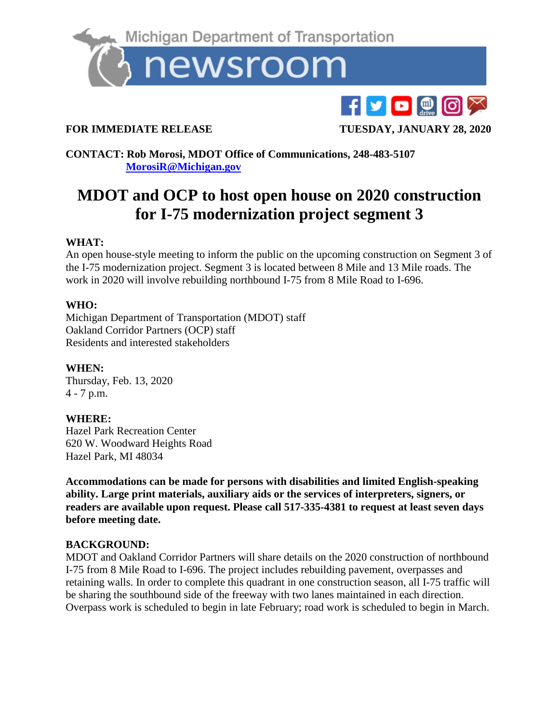

**FOR IMMEDIATE RELEASE TUESDAY, JANUARY 28, 2020** 

**CONTACT: Rob Morosi, MDOT Office of Communications, 248-483-5107 [MorosiR@Michigan.gov](mailto:MorosiR@Michigan.gov)**

# **MDOT and OCP to host open house on 2020 construction for I-75 modernization project segment 3**

## **WHAT:**

An open house-style meeting to inform the public on the upcoming construction on Segment 3 of the I-75 modernization project. Segment 3 is located between 8 Mile and 13 Mile roads. The work in 2020 will involve rebuilding northbound I-75 from 8 Mile Road to I-696.

### **WHO:**

Michigan Department of Transportation (MDOT) staff Oakland Corridor Partners (OCP) staff Residents and interested stakeholders

# **WHEN:**

Thursday, Feb. 13, 2020 4 - 7 p.m.

# **WHERE:**

Hazel Park Recreation Center 620 W. Woodward Heights Road Hazel Park, MI 48034

**Accommodations can be made for persons with disabilities and limited English-speaking ability. Large print materials, auxiliary aids or the services of interpreters, signers, or readers are available upon request. Please call 517-335-4381 to request at least seven days before meeting date.**

### **BACKGROUND:**

MDOT and Oakland Corridor Partners will share details on the 2020 construction of northbound I-75 from 8 Mile Road to I-696. The project includes rebuilding pavement, overpasses and retaining walls. In order to complete this quadrant in one construction season, all I-75 traffic will be sharing the southbound side of the freeway with two lanes maintained in each direction. Overpass work is scheduled to begin in late February; road work is scheduled to begin in March.